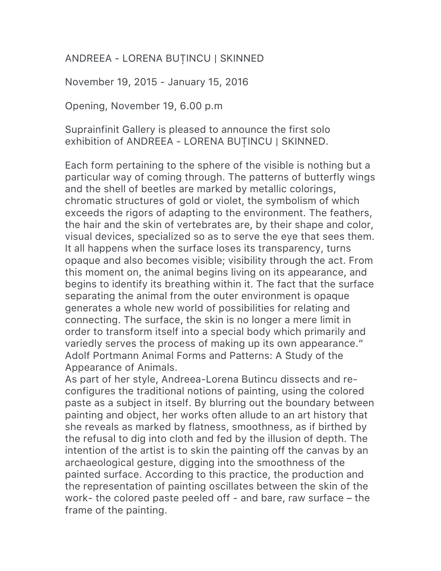## ANDREEA - LORENA BUȚINCU | SKINNED

November 19, 2015 - January 15, 2016

Opening, November 19, 6.00 p.m

Suprainfinit Gallery is pleased to announce the first solo exhibition of ANDREEA - LORENA BUȚINCU | SKINNED.

Each form pertaining to the sphere of the visible is nothing but a particular way of coming through. The patterns of butterfly wings and the shell of beetles are marked by metallic colorings, chromatic structures of gold or violet, the symbolism of which exceeds the rigors of adapting to the environment. The feathers, the hair and the skin of vertebrates are, by their shape and color, visual devices, specialized so as to serve the eye that sees them. It all happens when the surface loses its transparency, turns opaque and also becomes visible; visibility through the act. From this moment on, the animal begins living on its appearance, and begins to identify its breathing within it. The fact that the surface separating the animal from the outer environment is opaque generates a whole new world of possibilities for relating and connecting. The surface, the skin is no longer a mere limit in order to transform itself into a special body which primarily and variedly serves the process of making up its own appearance." Adolf Portmann Animal Forms and Patterns: A Study of the Appearance of Animals.

As part of her style, Andreea-Lorena Butincu dissects and reconfigures the traditional notions of painting, using the colored paste as a subject in itself. By blurring out the boundary between painting and object, her works often allude to an art history that she reveals as marked by flatness, smoothness, as if birthed by the refusal to dig into cloth and fed by the illusion of depth. The intention of the artist is to skin the painting off the canvas by an archaeological gesture, digging into the smoothness of the painted surface. According to this practice, the production and the representation of painting oscillates between the skin of the work- the colored paste peeled off - and bare, raw surface – the frame of the painting.